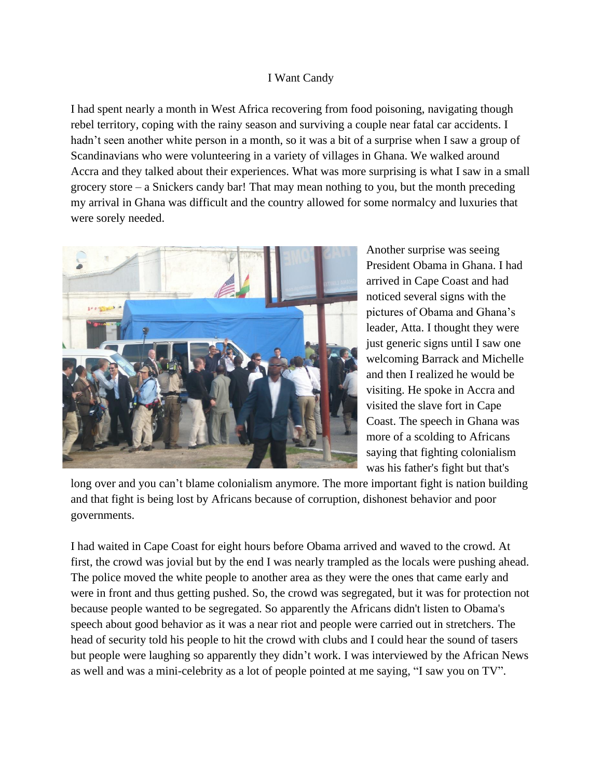## I Want Candy

I had spent nearly a month in West Africa recovering from food poisoning, navigating though rebel territory, coping with the rainy season and surviving a couple near fatal car accidents. I hadn't seen another white person in a month, so it was a bit of a surprise when I saw a group of Scandinavians who were volunteering in a variety of villages in Ghana. We walked around Accra and they talked about their experiences. What was more surprising is what I saw in a small grocery store – a Snickers candy bar! That may mean nothing to you, but the month preceding my arrival in Ghana was difficult and the country allowed for some normalcy and luxuries that were sorely needed.



Another surprise was seeing President Obama in Ghana. I had arrived in Cape Coast and had noticed several signs with the pictures of Obama and Ghana's leader, Atta. I thought they were just generic signs until I saw one welcoming Barrack and Michelle and then I realized he would be visiting. He spoke in Accra and visited the slave fort in Cape Coast. The speech in Ghana was more of a scolding to Africans saying that fighting colonialism was his father's fight but that's

long over and you can't blame colonialism anymore. The more important fight is nation building and that fight is being lost by Africans because of corruption, dishonest behavior and poor governments.

I had waited in Cape Coast for eight hours before Obama arrived and waved to the crowd. At first, the crowd was jovial but by the end I was nearly trampled as the locals were pushing ahead. The police moved the white people to another area as they were the ones that came early and were in front and thus getting pushed. So, the crowd was segregated, but it was for protection not because people wanted to be segregated. So apparently the Africans didn't listen to Obama's speech about good behavior as it was a near riot and people were carried out in stretchers. The head of security told his people to hit the crowd with clubs and I could hear the sound of tasers but people were laughing so apparently they didn't work. I was interviewed by the African News as well and was a mini-celebrity as a lot of people pointed at me saying, "I saw you on TV".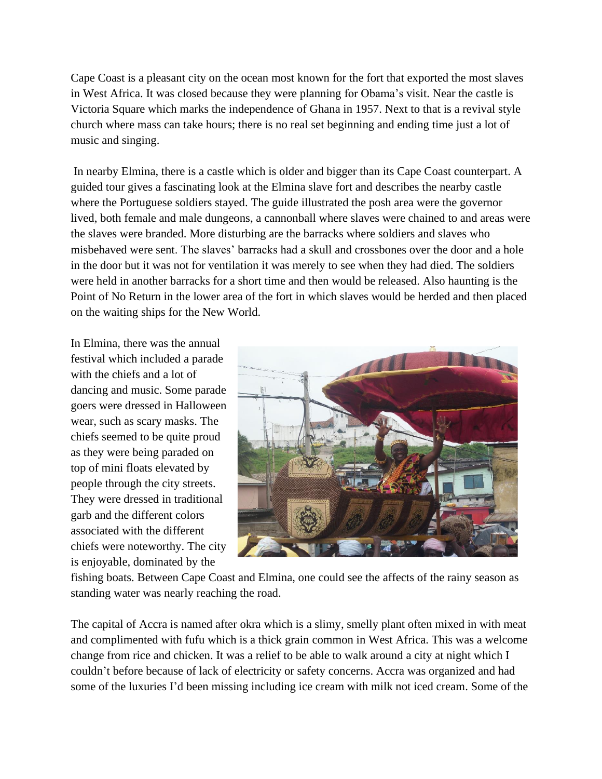Cape Coast is a pleasant city on the ocean most known for the fort that exported the most slaves in West Africa. It was closed because they were planning for Obama's visit. Near the castle is Victoria Square which marks the independence of Ghana in 1957. Next to that is a revival style church where mass can take hours; there is no real set beginning and ending time just a lot of music and singing.

In nearby Elmina, there is a castle which is older and bigger than its Cape Coast counterpart. A guided tour gives a fascinating look at the Elmina slave fort and describes the nearby castle where the Portuguese soldiers stayed. The guide illustrated the posh area were the governor lived, both female and male dungeons, a cannonball where slaves were chained to and areas were the slaves were branded. More disturbing are the barracks where soldiers and slaves who misbehaved were sent. The slaves' barracks had a skull and crossbones over the door and a hole in the door but it was not for ventilation it was merely to see when they had died. The soldiers were held in another barracks for a short time and then would be released. Also haunting is the Point of No Return in the lower area of the fort in which slaves would be herded and then placed on the waiting ships for the New World.

In Elmina, there was the annual festival which included a parade with the chiefs and a lot of dancing and music. Some parade goers were dressed in Halloween wear, such as scary masks. The chiefs seemed to be quite proud as they were being paraded on top of mini floats elevated by people through the city streets. They were dressed in traditional garb and the different colors associated with the different chiefs were noteworthy. The city is enjoyable, dominated by the



fishing boats. Between Cape Coast and Elmina, one could see the affects of the rainy season as standing water was nearly reaching the road.

The capital of Accra is named after okra which is a slimy, smelly plant often mixed in with meat and complimented with fufu which is a thick grain common in West Africa. This was a welcome change from rice and chicken. It was a relief to be able to walk around a city at night which I couldn't before because of lack of electricity or safety concerns. Accra was organized and had some of the luxuries I'd been missing including ice cream with milk not iced cream. Some of the